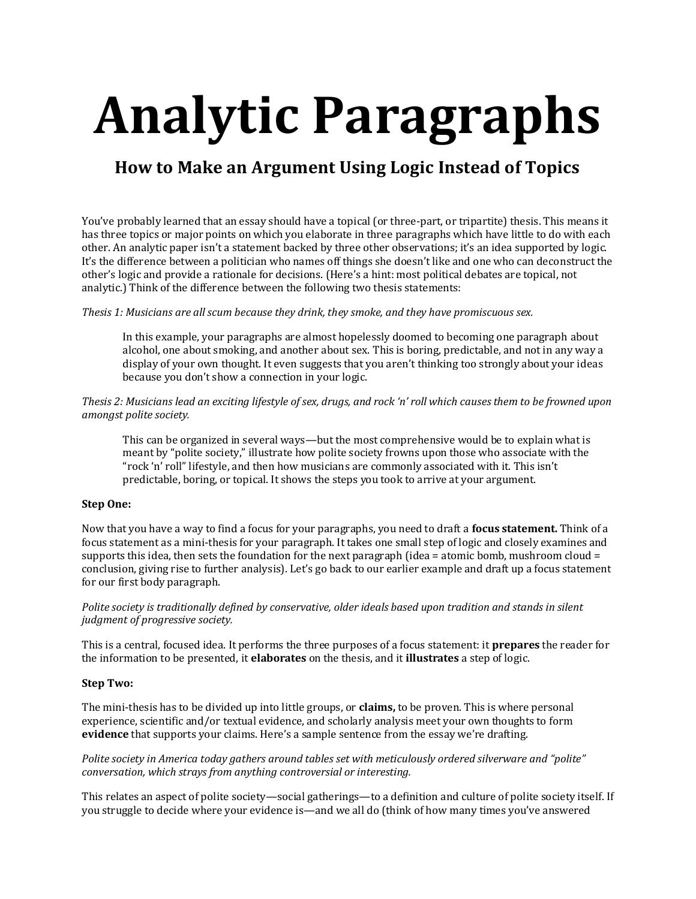# **Analytic Paragraphs**

# **How to Make an Argument Using Logic Instead of Topics**

You've probably learned that an essay should have a topical (or three-part, or tripartite) thesis. This means it has three topics or major points on which you elaborate in three paragraphs which have little to do with each other. An analytic paper isn't a statement backed by three other observations; it's an idea supported by logic. It's the difference between a politician who names off things she doesn't like and one who can deconstruct the other's logic and provide a rationale for decisions. (Here's a hint: most political debates are topical, not analytic.) Think of the difference between the following two thesis statements:

#### *Thesis 1: Musicians are all scum because they drink, they smoke, and they have promiscuous sex.*

In this example, your paragraphs are almost hopelessly doomed to becoming one paragraph about alcohol, one about smoking, and another about sex. This is boring, predictable, and not in any way a display of your own thought. It even suggests that you aren't thinking too strongly about your ideas because you don't show a connection in your logic.

## *Thesis 2: Musicians lead an exciting lifestyle of sex, drugs, and rock 'n' roll which causes them to be frowned upon amongst polite society.*

This can be organized in several ways—but the most comprehensive would be to explain what is meant by "polite society," illustrate how polite society frowns upon those who associate with the "rock 'n' roll" lifestyle, and then how musicians are commonly associated with it. This isn't predictable, boring, or topical. It shows the steps you took to arrive at your argument.

#### **Step One:**

Now that you have a way to find a focus for your paragraphs, you need to draft a **focus statement.** Think of a focus statement as a mini-thesis for your paragraph. It takes one small step of logic and closely examines and supports this idea, then sets the foundation for the next paragraph (idea = atomic bomb, mushroom cloud = conclusion, giving rise to further analysis). Let's go back to our earlier example and draft up a focus statement for our first body paragraph.

#### *Polite society is traditionally defined by conservative, older ideals based upon tradition and stands in silent judgment of progressive society.*

This is a central, focused idea. It performs the three purposes of a focus statement: it **prepares** the reader for the information to be presented, it **elaborates** on the thesis, and it **illustrates** a step of logic.

#### **Step Two:**

The mini-thesis has to be divided up into little groups, or **claims,** to be proven. This is where personal experience, scientific and/or textual evidence, and scholarly analysis meet your own thoughts to form **evidence** that supports your claims. Here's a sample sentence from the essay we're drafting.

#### *Polite society in America today gathers around tables set with meticulously ordered silverware and "polite" conversation, which strays from anything controversial or interesting.*

This relates an aspect of polite society—social gatherings—to a definition and culture of polite society itself. If you struggle to decide where your evidence is—and we all do (think of how many times you've answered